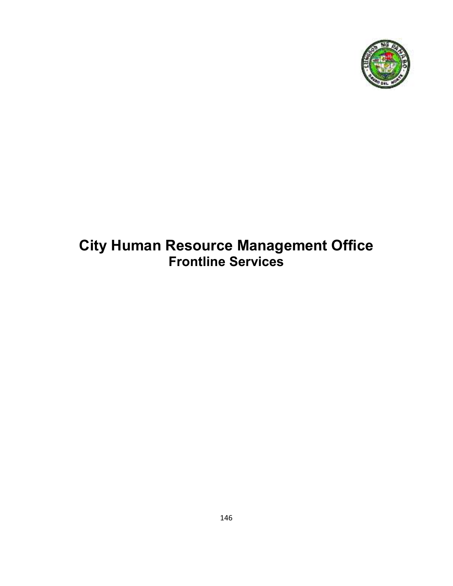

# **City Human Resource Management Office Frontline Services**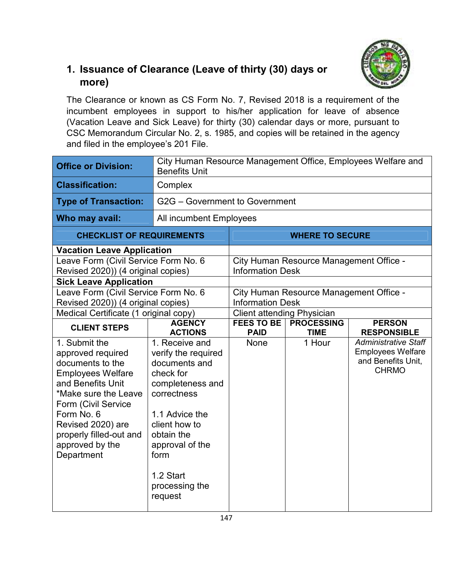

# **1. Issuance of Clearance (Leave of thirty (30) days or more)**

The Clearance or known as CS Form No. 7, Revised 2018 is a requirement of the incumbent employees in support to his/her application for leave of absence (Vacation Leave and Sick Leave) for thirty (30) calendar days or more, pursuant to CSC Memorandum Circular No. 2, s. 1985, and copies will be retained in the agency and filed in the employee's 201 File.

| <b>Office or Division:</b>                                                                                                                                                                                                                            | <b>Benefits Unit</b>                                                                                                                                                                                                         |                                                                                                             |                                         | City Human Resource Management Office, Employees Welfare and                                  |  |
|-------------------------------------------------------------------------------------------------------------------------------------------------------------------------------------------------------------------------------------------------------|------------------------------------------------------------------------------------------------------------------------------------------------------------------------------------------------------------------------------|-------------------------------------------------------------------------------------------------------------|-----------------------------------------|-----------------------------------------------------------------------------------------------|--|
| <b>Classification:</b>                                                                                                                                                                                                                                | Complex                                                                                                                                                                                                                      |                                                                                                             |                                         |                                                                                               |  |
| <b>Type of Transaction:</b>                                                                                                                                                                                                                           |                                                                                                                                                                                                                              | G2G - Government to Government                                                                              |                                         |                                                                                               |  |
| Who may avail:                                                                                                                                                                                                                                        | All incumbent Employees                                                                                                                                                                                                      |                                                                                                             |                                         |                                                                                               |  |
| <b>CHECKLIST OF REQUIREMENTS</b>                                                                                                                                                                                                                      |                                                                                                                                                                                                                              |                                                                                                             | <b>WHERE TO SECURE</b>                  |                                                                                               |  |
| <b>Vacation Leave Application</b>                                                                                                                                                                                                                     |                                                                                                                                                                                                                              |                                                                                                             |                                         |                                                                                               |  |
| Leave Form (Civil Service Form No. 6<br>Revised 2020)) (4 original copies)                                                                                                                                                                            |                                                                                                                                                                                                                              | <b>Information Desk</b>                                                                                     | City Human Resource Management Office - |                                                                                               |  |
| <b>Sick Leave Application</b>                                                                                                                                                                                                                         |                                                                                                                                                                                                                              |                                                                                                             |                                         |                                                                                               |  |
| Leave Form (Civil Service Form No. 6<br>Revised 2020)) (4 original copies)                                                                                                                                                                            |                                                                                                                                                                                                                              | City Human Resource Management Office -<br><b>Information Desk</b>                                          |                                         |                                                                                               |  |
| Medical Certificate (1 original copy)                                                                                                                                                                                                                 |                                                                                                                                                                                                                              | <b>Client attending Physician</b>                                                                           |                                         |                                                                                               |  |
| <b>CLIENT STEPS</b>                                                                                                                                                                                                                                   | <b>AGENCY</b><br><b>ACTIONS</b>                                                                                                                                                                                              | <b>FEES TO BE</b><br><b>PROCESSING</b><br><b>PERSON</b><br><b>PAID</b><br><b>TIME</b><br><b>RESPONSIBLE</b> |                                         |                                                                                               |  |
| 1. Submit the<br>approved required<br>documents to the<br><b>Employees Welfare</b><br>and Benefits Unit<br>*Make sure the Leave<br>Form (Civil Service<br>Form No. 6<br>Revised 2020) are<br>properly filled-out and<br>approved by the<br>Department | 1. Receive and<br>verify the required<br>documents and<br>check for<br>completeness and<br>correctness<br>1.1 Advice the<br>client how to<br>obtain the<br>approval of the<br>form<br>1.2 Start<br>processing the<br>request | None                                                                                                        | 1 Hour                                  | <b>Administrative Staff</b><br><b>Employees Welfare</b><br>and Benefits Unit,<br><b>CHRMO</b> |  |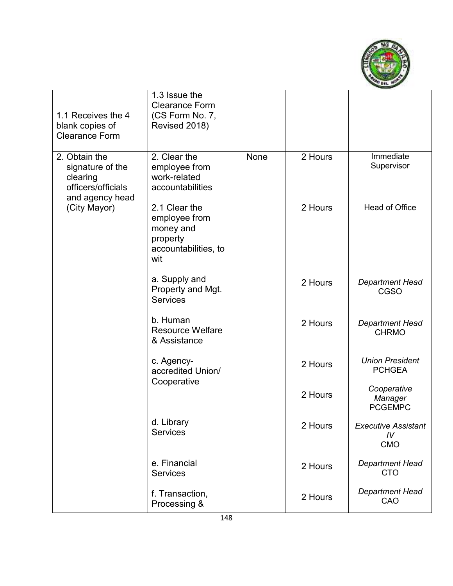

| 1.1 Receives the 4<br>blank copies of<br><b>Clearance Form</b>                         | 1.3 Issue the<br><b>Clearance Form</b><br>(CS Form No. 7,<br>Revised 2018)             |      |         |                                                |
|----------------------------------------------------------------------------------------|----------------------------------------------------------------------------------------|------|---------|------------------------------------------------|
| 2. Obtain the<br>signature of the<br>clearing<br>officers/officials<br>and agency head | 2. Clear the<br>employee from<br>work-related<br>accountabilities                      | None | 2 Hours | Immediate<br>Supervisor                        |
| (City Mayor)                                                                           | 2.1 Clear the<br>employee from<br>money and<br>property<br>accountabilities, to<br>wit |      | 2 Hours | Head of Office                                 |
|                                                                                        | a. Supply and<br>Property and Mgt.<br><b>Services</b>                                  |      | 2 Hours | <b>Department Head</b><br><b>CGSO</b>          |
|                                                                                        | b. Human<br><b>Resource Welfare</b><br>& Assistance                                    |      | 2 Hours | <b>Department Head</b><br><b>CHRMO</b>         |
|                                                                                        | c. Agency-<br>accredited Union/                                                        |      | 2 Hours | <b>Union President</b><br><b>PCHGEA</b>        |
|                                                                                        | Cooperative                                                                            |      | 2 Hours | Cooperative<br>Manager<br><b>PCGEMPC</b>       |
|                                                                                        | d. Library<br><b>Services</b>                                                          |      | 2 Hours | <b>Executive Assistant</b><br>IV<br><b>CMO</b> |
|                                                                                        | e. Financial<br><b>Services</b>                                                        |      | 2 Hours | <b>Department Head</b><br><b>CTO</b>           |
|                                                                                        | f. Transaction,<br>Processing &                                                        |      | 2 Hours | <b>Department Head</b><br>CAO                  |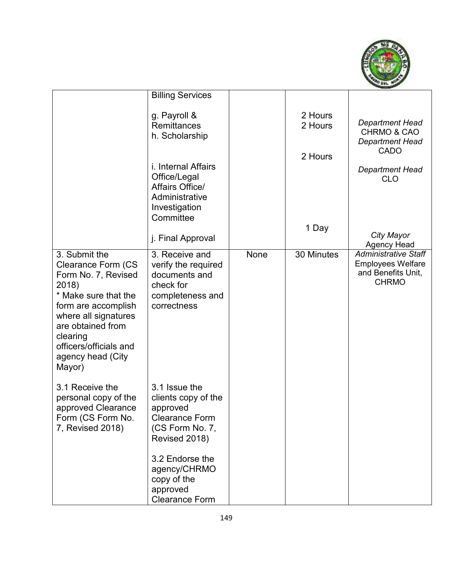

|                                                                                                                                                                                                                                             | <b>Billing Services</b>                                                                                                                                                                              |      |                    |                                                                                               |
|---------------------------------------------------------------------------------------------------------------------------------------------------------------------------------------------------------------------------------------------|------------------------------------------------------------------------------------------------------------------------------------------------------------------------------------------------------|------|--------------------|-----------------------------------------------------------------------------------------------|
|                                                                                                                                                                                                                                             | g. Payroll &<br><b>Remittances</b><br>h. Scholarship                                                                                                                                                 |      | 2 Hours<br>2 Hours | <b>Department Head</b><br><b>CHRMO &amp; CAO</b><br><b>Department Head</b>                    |
|                                                                                                                                                                                                                                             |                                                                                                                                                                                                      |      | 2 Hours            | <b>CADO</b>                                                                                   |
|                                                                                                                                                                                                                                             | i. Internal Affairs<br>Office/Legal<br>Affairs Office/<br>Administrative<br>Investigation<br>Committee                                                                                               |      |                    | Department Head<br><b>CLO</b>                                                                 |
|                                                                                                                                                                                                                                             |                                                                                                                                                                                                      |      | 1 Day              | City Mayor                                                                                    |
|                                                                                                                                                                                                                                             | j. Final Approval                                                                                                                                                                                    |      |                    | <b>Agency Head</b>                                                                            |
| 3. Submit the<br><b>Clearance Form (CS</b><br>Form No. 7, Revised<br>2018)<br>* Make sure that the<br>form are accomplish<br>where all signatures<br>are obtained from<br>clearing<br>officers/officials and<br>agency head (City<br>Mayor) | 3. Receive and<br>verify the required<br>documents and<br>check for<br>completeness and<br>correctness                                                                                               | None | 30 Minutes         | <b>Administrative Staff</b><br><b>Employees Welfare</b><br>and Benefits Unit,<br><b>CHRMO</b> |
| 3.1 Receive the<br>personal copy of the<br>approved Clearance<br>Form (CS Form No.<br>7, Revised 2018)                                                                                                                                      | 3.1 Issue the<br>clients copy of the<br>approved<br><b>Clearance Form</b><br>(CS Form No. 7,<br>Revised 2018)<br>3.2 Endorse the<br>agency/CHRMO<br>copy of the<br>approved<br><b>Clearance Form</b> |      |                    |                                                                                               |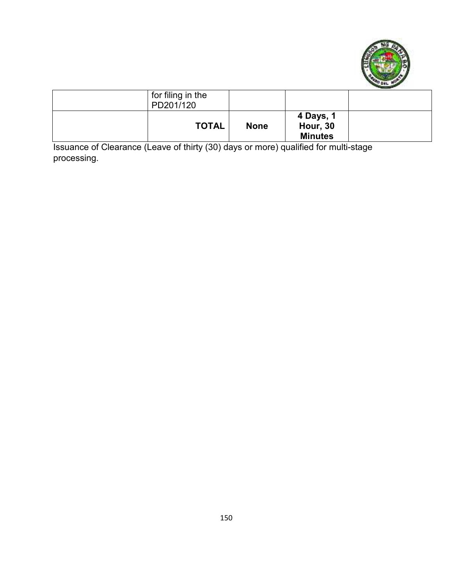

| for filing in the<br>PD201/120 |             |                                                |  |
|--------------------------------|-------------|------------------------------------------------|--|
| <b>TOTAL</b>                   | <b>None</b> | 4 Days, 1<br><b>Hour, 30</b><br><b>Minutes</b> |  |

Issuance of Clearance (Leave of thirty (30) days or more) qualified for multi-stage processing.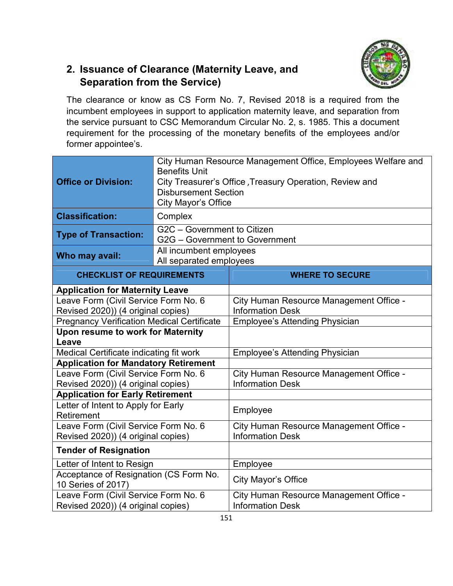## **2. Issuance of Clearance (Maternity Leave, and Separation from the Service)**



The clearance or know as CS Form No. 7, Revised 2018 is a required from the incumbent employees in support to application maternity leave, and separation from the service pursuant to CSC Memorandum Circular No. 2, s. 1985. This a document requirement for the processing of the monetary benefits of the employees and/or former appointee's.

| <b>Office or Division:</b>                                                 | City Human Resource Management Office, Employees Welfare and<br><b>Benefits Unit</b><br>City Treasurer's Office, Treasury Operation, Review and<br><b>Disbursement Section</b><br>City Mayor's Office |                                                                    |  |  |  |
|----------------------------------------------------------------------------|-------------------------------------------------------------------------------------------------------------------------------------------------------------------------------------------------------|--------------------------------------------------------------------|--|--|--|
| <b>Classification:</b>                                                     | Complex                                                                                                                                                                                               |                                                                    |  |  |  |
| <b>Type of Transaction:</b>                                                | G2C - Government to Citizen<br>G2G - Government to Government                                                                                                                                         |                                                                    |  |  |  |
| Who may avail:                                                             | All incumbent employees<br>All separated employees                                                                                                                                                    |                                                                    |  |  |  |
| <b>CHECKLIST OF REQUIREMENTS</b>                                           |                                                                                                                                                                                                       | <b>WHERE TO SECURE</b>                                             |  |  |  |
| <b>Application for Maternity Leave</b>                                     |                                                                                                                                                                                                       |                                                                    |  |  |  |
| Leave Form (Civil Service Form No. 6                                       |                                                                                                                                                                                                       | City Human Resource Management Office -                            |  |  |  |
| Revised 2020)) (4 original copies)                                         |                                                                                                                                                                                                       | <b>Information Desk</b>                                            |  |  |  |
| <b>Pregnancy Verification Medical Certificate</b>                          |                                                                                                                                                                                                       | <b>Employee's Attending Physician</b>                              |  |  |  |
| Upon resume to work for Maternity<br>Leave                                 |                                                                                                                                                                                                       |                                                                    |  |  |  |
| Medical Certificate indicating fit work                                    |                                                                                                                                                                                                       | <b>Employee's Attending Physician</b>                              |  |  |  |
| <b>Application for Mandatory Retirement</b>                                |                                                                                                                                                                                                       |                                                                    |  |  |  |
| Leave Form (Civil Service Form No. 6<br>Revised 2020)) (4 original copies) |                                                                                                                                                                                                       | City Human Resource Management Office -<br><b>Information Desk</b> |  |  |  |
| <b>Application for Early Retirement</b>                                    |                                                                                                                                                                                                       |                                                                    |  |  |  |
| Letter of Intent to Apply for Early<br>Retirement                          |                                                                                                                                                                                                       | Employee                                                           |  |  |  |
| Leave Form (Civil Service Form No. 6<br>Revised 2020)) (4 original copies) |                                                                                                                                                                                                       | City Human Resource Management Office -<br><b>Information Desk</b> |  |  |  |
| <b>Tender of Resignation</b>                                               |                                                                                                                                                                                                       |                                                                    |  |  |  |
| Letter of Intent to Resign                                                 |                                                                                                                                                                                                       | Employee                                                           |  |  |  |
| Acceptance of Resignation (CS Form No.<br>10 Series of 2017)               |                                                                                                                                                                                                       | City Mayor's Office                                                |  |  |  |
| Leave Form (Civil Service Form No. 6                                       |                                                                                                                                                                                                       | City Human Resource Management Office -                            |  |  |  |
| Revised 2020)) (4 original copies)                                         |                                                                                                                                                                                                       | <b>Information Desk</b>                                            |  |  |  |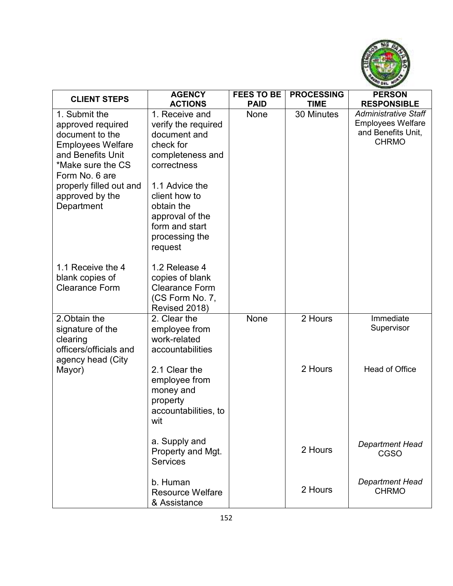

| <b>CLIENT STEPS</b>                                                                                                                                                                                       | <b>AGENCY</b>                                                                                                                                                                                                            | <b>FEES TO BE</b> | <b>PROCESSING</b> | <b>PERSON</b>                                                                                 |
|-----------------------------------------------------------------------------------------------------------------------------------------------------------------------------------------------------------|--------------------------------------------------------------------------------------------------------------------------------------------------------------------------------------------------------------------------|-------------------|-------------------|-----------------------------------------------------------------------------------------------|
|                                                                                                                                                                                                           | <b>ACTIONS</b>                                                                                                                                                                                                           | <b>PAID</b>       | <b>TIME</b>       | <b>RESPONSIBLE</b>                                                                            |
| 1. Submit the<br>approved required<br>document to the<br><b>Employees Welfare</b><br>and Benefits Unit<br>*Make sure the CS<br>Form No. 6 are<br>properly filled out and<br>approved by the<br>Department | 1. Receive and<br>verify the required<br>document and<br>check for<br>completeness and<br>correctness<br>1.1 Advice the<br>client how to<br>obtain the<br>approval of the<br>form and start<br>processing the<br>request | None              | 30 Minutes        | <b>Administrative Staff</b><br><b>Employees Welfare</b><br>and Benefits Unit,<br><b>CHRMO</b> |
| 1.1 Receive the 4<br>blank copies of<br><b>Clearance Form</b>                                                                                                                                             | 1.2 Release 4<br>copies of blank<br><b>Clearance Form</b><br>(CS Form No. 7,<br>Revised 2018)                                                                                                                            |                   |                   |                                                                                               |
| 2. Obtain the<br>signature of the<br>clearing<br>officers/officials and<br>agency head (City                                                                                                              | 2. Clear the<br>employee from<br>work-related<br>accountabilities                                                                                                                                                        | None              | 2 Hours           | Immediate<br>Supervisor                                                                       |
| Mayor)                                                                                                                                                                                                    | 2.1 Clear the<br>employee from<br>money and<br>property<br>accountabilities, to<br>wit                                                                                                                                   |                   | 2 Hours           | <b>Head of Office</b>                                                                         |
|                                                                                                                                                                                                           | a. Supply and<br>Property and Mgt.<br><b>Services</b>                                                                                                                                                                    |                   | 2 Hours           | <b>Department Head</b><br><b>CGSO</b>                                                         |
|                                                                                                                                                                                                           | b. Human<br><b>Resource Welfare</b><br>& Assistance                                                                                                                                                                      |                   | 2 Hours           | <b>Department Head</b><br><b>CHRMO</b>                                                        |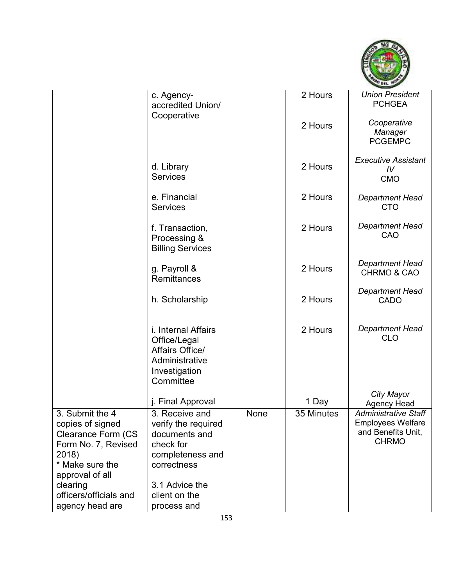

|                                                                                                                                             | c. Agency-<br>accredited Union/                                                                                          |      | 2 Hours    | <b>Union President</b><br><b>PCHGEA</b>                                                       |
|---------------------------------------------------------------------------------------------------------------------------------------------|--------------------------------------------------------------------------------------------------------------------------|------|------------|-----------------------------------------------------------------------------------------------|
|                                                                                                                                             | Cooperative                                                                                                              |      | 2 Hours    | Cooperative<br>Manager<br><b>PCGEMPC</b>                                                      |
|                                                                                                                                             | d. Library<br><b>Services</b>                                                                                            |      | 2 Hours    | <b>Executive Assistant</b><br>IV<br><b>CMO</b>                                                |
|                                                                                                                                             | e. Financial<br><b>Services</b>                                                                                          |      | 2 Hours    | <b>Department Head</b><br><b>CTO</b>                                                          |
|                                                                                                                                             | f. Transaction,<br>Processing &<br><b>Billing Services</b>                                                               |      | 2 Hours    | <b>Department Head</b><br>CAO                                                                 |
|                                                                                                                                             | g. Payroll &<br>Remittances                                                                                              |      | 2 Hours    | <b>Department Head</b><br>CHRMO & CAO                                                         |
|                                                                                                                                             | h. Scholarship                                                                                                           |      | 2 Hours    | <b>Department Head</b><br>CADO                                                                |
|                                                                                                                                             | i. Internal Affairs<br>Office/Legal<br>Affairs Office/<br>Administrative<br>Investigation<br>Committee                   |      | 2 Hours    | <b>Department Head</b><br><b>CLO</b>                                                          |
|                                                                                                                                             | j. Final Approval                                                                                                        |      | 1 Day      | City Mayor<br><b>Agency Head</b>                                                              |
| 3. Submit the 4<br>copies of signed<br>Clearance Form (CS<br>Form No. 7, Revised<br>2018)<br>* Make sure the<br>approval of all<br>clearing | 3. Receive and<br>verify the required<br>documents and<br>check for<br>completeness and<br>correctness<br>3.1 Advice the | None | 35 Minutes | <b>Administrative Staff</b><br><b>Employees Welfare</b><br>and Benefits Unit,<br><b>CHRMO</b> |
| officers/officials and<br>agency head are                                                                                                   | client on the<br>process and                                                                                             |      |            |                                                                                               |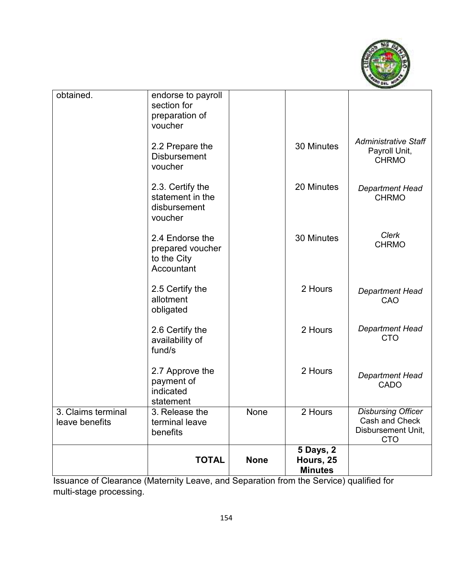

| obtained.                            | endorse to payroll<br>section for<br>preparation of<br>voucher   |             |                                                 |                                                                                 |
|--------------------------------------|------------------------------------------------------------------|-------------|-------------------------------------------------|---------------------------------------------------------------------------------|
|                                      | 2.2 Prepare the<br><b>Disbursement</b><br>voucher                |             | 30 Minutes                                      | <b>Administrative Staff</b><br>Payroll Unit,<br><b>CHRMO</b>                    |
|                                      | 2.3. Certify the<br>statement in the<br>disbursement<br>voucher  |             | 20 Minutes                                      | <b>Department Head</b><br><b>CHRMO</b>                                          |
|                                      | 2.4 Endorse the<br>prepared voucher<br>to the City<br>Accountant |             | 30 Minutes                                      | Clerk<br><b>CHRMO</b>                                                           |
|                                      | 2.5 Certify the<br>allotment<br>obligated                        |             | 2 Hours                                         | <b>Department Head</b><br>CAO                                                   |
|                                      | 2.6 Certify the<br>availability of<br>fund/s                     |             | 2 Hours                                         | <b>Department Head</b><br><b>CTO</b>                                            |
|                                      | 2.7 Approve the<br>payment of<br>indicated<br>statement          |             | 2 Hours                                         | <b>Department Head</b><br><b>CADO</b>                                           |
| 3. Claims terminal<br>leave benefits | 3. Release the<br>terminal leave<br>benefits                     | None        | 2 Hours                                         | <b>Disbursing Officer</b><br>Cash and Check<br>Disbursement Unit,<br><b>CTO</b> |
|                                      | <b>TOTAL</b>                                                     | <b>None</b> | <b>5 Days, 2</b><br>Hours, 25<br><b>Minutes</b> |                                                                                 |

Issuance of Clearance (Maternity Leave, and Separation from the Service) qualified for multi-stage processing.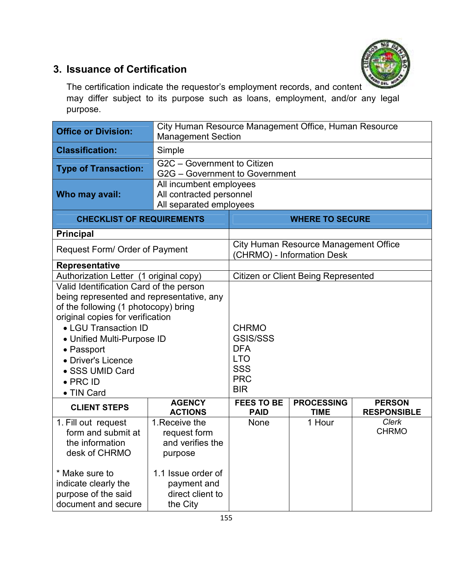

# **3. Issuance of Certification**

The certification indicate the requestor's employment records, and content may differ subject to its purpose such as loans, employment, and/or any legal purpose.

| <b>Office or Division:</b>                                                                                                                                                                                                                                                                                      |                                                                                                                                    | City Human Resource Management Office, Human Resource<br><b>Management Section</b>                    |                                                                            |                                     |  |
|-----------------------------------------------------------------------------------------------------------------------------------------------------------------------------------------------------------------------------------------------------------------------------------------------------------------|------------------------------------------------------------------------------------------------------------------------------------|-------------------------------------------------------------------------------------------------------|----------------------------------------------------------------------------|-------------------------------------|--|
| <b>Classification:</b>                                                                                                                                                                                                                                                                                          | Simple                                                                                                                             |                                                                                                       |                                                                            |                                     |  |
| <b>Type of Transaction:</b>                                                                                                                                                                                                                                                                                     | G2C - Government to Citizen<br>G2G - Government to Government                                                                      |                                                                                                       |                                                                            |                                     |  |
| Who may avail:                                                                                                                                                                                                                                                                                                  |                                                                                                                                    | All incumbent employees<br>All contracted personnel<br>All separated employees                        |                                                                            |                                     |  |
| <b>CHECKLIST OF REQUIREMENTS</b>                                                                                                                                                                                                                                                                                |                                                                                                                                    |                                                                                                       | <b>WHERE TO SECURE</b>                                                     |                                     |  |
| <b>Principal</b>                                                                                                                                                                                                                                                                                                |                                                                                                                                    |                                                                                                       |                                                                            |                                     |  |
| Request Form/ Order of Payment                                                                                                                                                                                                                                                                                  |                                                                                                                                    |                                                                                                       | <b>City Human Resource Management Office</b><br>(CHRMO) - Information Desk |                                     |  |
| <b>Representative</b>                                                                                                                                                                                                                                                                                           |                                                                                                                                    |                                                                                                       |                                                                            |                                     |  |
| Authorization Letter (1 original copy)                                                                                                                                                                                                                                                                          |                                                                                                                                    |                                                                                                       | <b>Citizen or Client Being Represented</b>                                 |                                     |  |
| Valid Identification Card of the person<br>being represented and representative, any<br>of the following (1 photocopy) bring<br>original copies for verification<br>• LGU Transaction ID<br>• Unified Multi-Purpose ID<br>• Passport<br>• Driver's Licence<br>• SSS UMID Card<br>$\bullet$ PRC ID<br>• TIN Card |                                                                                                                                    | <b>CHRMO</b><br><b>GSIS/SSS</b><br><b>DFA</b><br><b>LTO</b><br><b>SSS</b><br><b>PRC</b><br><b>BIR</b> |                                                                            |                                     |  |
| <b>CLIENT STEPS</b>                                                                                                                                                                                                                                                                                             | <b>AGENCY</b><br><b>ACTIONS</b>                                                                                                    | <b>FEES TO BE</b><br><b>PAID</b>                                                                      | <b>PROCESSING</b><br><b>TIME</b>                                           | <b>PERSON</b><br><b>RESPONSIBLE</b> |  |
| 1. Fill out request<br>form and submit at<br>the information<br>desk of CHRMO<br>* Make sure to<br>indicate clearly the<br>purpose of the said<br>document and secure                                                                                                                                           | 1. Receive the<br>request form<br>and verifies the<br>purpose<br>1.1 Issue order of<br>payment and<br>direct client to<br>the City | None                                                                                                  | 1 Hour                                                                     | Clerk<br><b>CHRMO</b>               |  |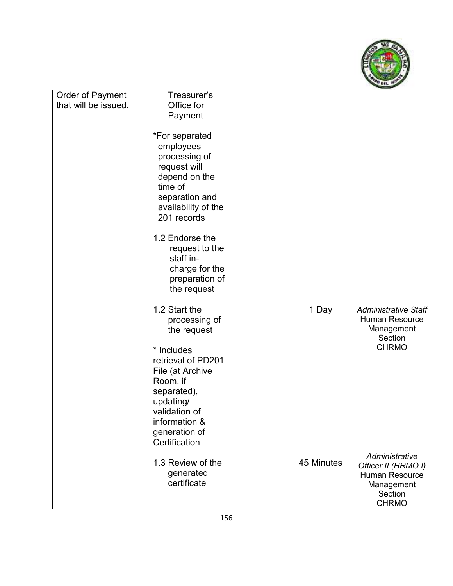

| Order of Payment     | Treasurer's         |            |                             |
|----------------------|---------------------|------------|-----------------------------|
| that will be issued. | Office for          |            |                             |
|                      | Payment             |            |                             |
|                      |                     |            |                             |
|                      | *For separated      |            |                             |
|                      | employees           |            |                             |
|                      |                     |            |                             |
|                      | processing of       |            |                             |
|                      | request will        |            |                             |
|                      | depend on the       |            |                             |
|                      | time of             |            |                             |
|                      | separation and      |            |                             |
|                      | availability of the |            |                             |
|                      | 201 records         |            |                             |
|                      |                     |            |                             |
|                      | 1.2 Endorse the     |            |                             |
|                      | request to the      |            |                             |
|                      | staff in-           |            |                             |
|                      | charge for the      |            |                             |
|                      | preparation of      |            |                             |
|                      | the request         |            |                             |
|                      |                     |            |                             |
|                      |                     |            |                             |
|                      | 1.2 Start the       | 1 Day      | <b>Administrative Staff</b> |
|                      | processing of       |            | Human Resource              |
|                      | the request         |            | Management<br>Section       |
|                      |                     |            | <b>CHRMO</b>                |
|                      | * Includes          |            |                             |
|                      | retrieval of PD201  |            |                             |
|                      | File (at Archive    |            |                             |
|                      | Room, if            |            |                             |
|                      | separated),         |            |                             |
|                      | updating/           |            |                             |
|                      | validation of       |            |                             |
|                      | information &       |            |                             |
|                      | generation of       |            |                             |
|                      | Certification       |            |                             |
|                      |                     |            |                             |
|                      |                     |            | Administrative              |
|                      | 1.3 Review of the   | 45 Minutes | Officer II (HRMO I)         |
|                      | generated           |            | <b>Human Resource</b>       |
|                      | certificate         |            | Management                  |
|                      |                     |            | Section                     |
|                      |                     |            | <b>CHRMO</b>                |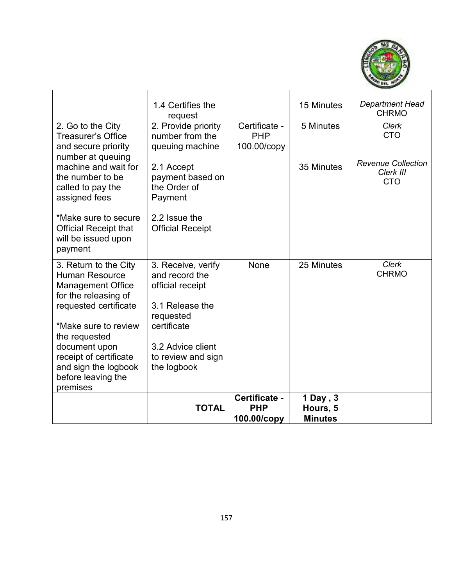

|                                                                                                    | 1.4 Certifies the<br>request                              |                                            | 15 Minutes                 | <b>Department Head</b><br><b>CHRMO</b>               |
|----------------------------------------------------------------------------------------------------|-----------------------------------------------------------|--------------------------------------------|----------------------------|------------------------------------------------------|
| 2. Go to the City<br><b>Treasurer's Office</b><br>and secure priority<br>number at queuing         | 2. Provide priority<br>number from the<br>queuing machine | Certificate -<br><b>PHP</b><br>100.00/copy | 5 Minutes                  | <b>Clerk</b><br><b>CTO</b>                           |
| machine and wait for<br>the number to be<br>called to pay the<br>assigned fees                     | 2.1 Accept<br>payment based on<br>the Order of<br>Payment |                                            | 35 Minutes                 | <b>Revenue Collection</b><br>Clerk III<br><b>CTO</b> |
| *Make sure to secure<br><b>Official Receipt that</b><br>will be issued upon<br>payment             | 2.2 Issue the<br><b>Official Receipt</b>                  |                                            |                            |                                                      |
| 3. Return to the City<br><b>Human Resource</b><br><b>Management Office</b><br>for the releasing of | 3. Receive, verify<br>and record the<br>official receipt  | None                                       | 25 Minutes                 | Clerk<br><b>CHRMO</b>                                |
| requested certificate                                                                              | 3.1 Release the<br>requested                              |                                            |                            |                                                      |
| *Make sure to review<br>the requested                                                              | certificate                                               |                                            |                            |                                                      |
| document upon<br>receipt of certificate                                                            | 3.2 Advice client<br>to review and sign                   |                                            |                            |                                                      |
| and sign the logbook<br>before leaving the                                                         | the logbook                                               |                                            |                            |                                                      |
| premises                                                                                           |                                                           |                                            |                            |                                                      |
|                                                                                                    |                                                           | Certificate -                              | 1 Day, 3                   |                                                      |
|                                                                                                    | <b>TOTAL</b>                                              | <b>PHP</b><br>100.00/copy                  | Hours, 5<br><b>Minutes</b> |                                                      |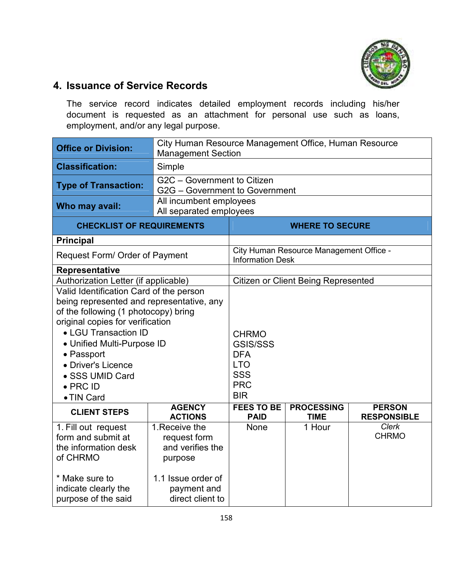

## **4. Issuance of Service Records**

The service record indicates detailed employment records including his/her document is requested as an attachment for personal use such as loans, employment, and/or any legal purpose.

| <b>Office or Division:</b>                                                                                                                                       | City Human Resource Management Office, Human Resource<br><b>Management Section</b>                                     |                                  |                                            |                                     |
|------------------------------------------------------------------------------------------------------------------------------------------------------------------|------------------------------------------------------------------------------------------------------------------------|----------------------------------|--------------------------------------------|-------------------------------------|
| <b>Classification:</b>                                                                                                                                           | Simple                                                                                                                 |                                  |                                            |                                     |
| <b>Type of Transaction:</b>                                                                                                                                      | G2C - Government to Citizen<br>G2G - Government to Government                                                          |                                  |                                            |                                     |
| Who may avail:                                                                                                                                                   | All incumbent employees<br>All separated employees                                                                     |                                  |                                            |                                     |
| <b>CHECKLIST OF REQUIREMENTS</b>                                                                                                                                 |                                                                                                                        |                                  | <b>WHERE TO SECURE</b>                     |                                     |
| <b>Principal</b>                                                                                                                                                 |                                                                                                                        |                                  |                                            |                                     |
| Request Form/ Order of Payment                                                                                                                                   |                                                                                                                        | <b>Information Desk</b>          | City Human Resource Management Office -    |                                     |
| <b>Representative</b>                                                                                                                                            |                                                                                                                        |                                  |                                            |                                     |
| Authorization Letter (if applicable)                                                                                                                             |                                                                                                                        |                                  | <b>Citizen or Client Being Represented</b> |                                     |
| Valid Identification Card of the person<br>being represented and representative, any<br>of the following (1 photocopy) bring<br>original copies for verification |                                                                                                                        |                                  |                                            |                                     |
| • LGU Transaction ID                                                                                                                                             |                                                                                                                        | <b>CHRMO</b><br><b>GSIS/SSS</b>  |                                            |                                     |
| • Unified Multi-Purpose ID<br>• Passport                                                                                                                         |                                                                                                                        | <b>DFA</b>                       |                                            |                                     |
| • Driver's Licence                                                                                                                                               |                                                                                                                        | <b>LTO</b>                       |                                            |                                     |
| • SSS UMID Card                                                                                                                                                  |                                                                                                                        | <b>SSS</b>                       |                                            |                                     |
| $\bullet$ PRC ID                                                                                                                                                 |                                                                                                                        | <b>PRC</b>                       |                                            |                                     |
| • TIN Card                                                                                                                                                       |                                                                                                                        | <b>BIR</b>                       |                                            |                                     |
| <b>CLIENT STEPS</b>                                                                                                                                              | <b>AGENCY</b><br><b>ACTIONS</b>                                                                                        | <b>FEES TO BE</b><br><b>PAID</b> | <b>PROCESSING</b><br><b>TIME</b>           | <b>PERSON</b><br><b>RESPONSIBLE</b> |
| 1. Fill out request<br>form and submit at<br>the information desk<br>of CHRMO<br>* Make sure to<br>indicate clearly the<br>purpose of the said                   | 1. Receive the<br>request form<br>and verifies the<br>purpose<br>1.1 Issue order of<br>payment and<br>direct client to | None                             | 1 Hour                                     | <b>Clerk</b><br><b>CHRMO</b>        |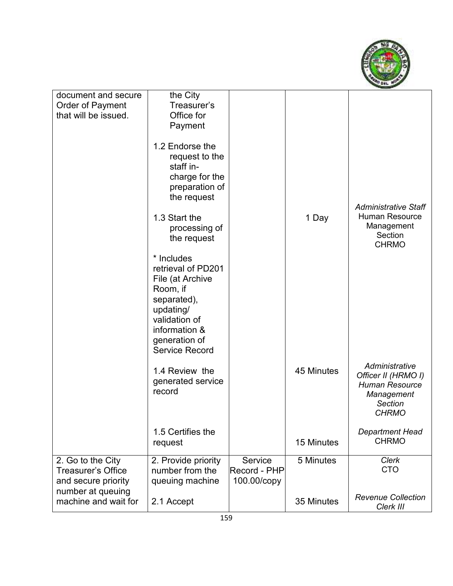

| document and secure<br>the City<br>Order of Payment<br>Treasurer's<br>Office for<br>that will be issued.<br>Payment<br>1.2 Endorse the<br>request to the<br>staff in-<br>charge for the<br>preparation of<br>the request<br><b>Administrative Staff</b><br><b>Human Resource</b><br>1.3 Start the<br>1 Day<br>Management<br>processing of<br>Section<br>the request<br><b>CHRMO</b><br>* Includes<br>retrieval of PD201<br>File (at Archive<br>Room, if<br>separated),<br>updating/<br>validation of<br>information &<br>generation of<br><b>Service Record</b><br>Administrative<br>45 Minutes<br>1.4 Review the<br>Officer II (HRMO I)<br>generated service<br><b>Human Resource</b><br>record<br>Management<br><b>Section</b><br><b>CHRMO</b><br>1.5 Certifies the<br><b>Department Head</b><br><b>CHRMO</b><br>15 Minutes<br>request<br><b>Clerk</b><br>Service<br>5 Minutes<br>2. Provide priority<br>2. Go to the City<br><b>CTO</b><br><b>Treasurer's Office</b><br>number from the<br>Record - PHP<br>and secure priority<br>queuing machine<br>100.00/copy<br>number at queuing<br><b>Revenue Collection</b><br>machine and wait for<br>35 Minutes<br>2.1 Accept |  |  |           |
|---------------------------------------------------------------------------------------------------------------------------------------------------------------------------------------------------------------------------------------------------------------------------------------------------------------------------------------------------------------------------------------------------------------------------------------------------------------------------------------------------------------------------------------------------------------------------------------------------------------------------------------------------------------------------------------------------------------------------------------------------------------------------------------------------------------------------------------------------------------------------------------------------------------------------------------------------------------------------------------------------------------------------------------------------------------------------------------------------------------------------------------------------------------------------|--|--|-----------|
|                                                                                                                                                                                                                                                                                                                                                                                                                                                                                                                                                                                                                                                                                                                                                                                                                                                                                                                                                                                                                                                                                                                                                                           |  |  |           |
|                                                                                                                                                                                                                                                                                                                                                                                                                                                                                                                                                                                                                                                                                                                                                                                                                                                                                                                                                                                                                                                                                                                                                                           |  |  |           |
|                                                                                                                                                                                                                                                                                                                                                                                                                                                                                                                                                                                                                                                                                                                                                                                                                                                                                                                                                                                                                                                                                                                                                                           |  |  |           |
|                                                                                                                                                                                                                                                                                                                                                                                                                                                                                                                                                                                                                                                                                                                                                                                                                                                                                                                                                                                                                                                                                                                                                                           |  |  |           |
|                                                                                                                                                                                                                                                                                                                                                                                                                                                                                                                                                                                                                                                                                                                                                                                                                                                                                                                                                                                                                                                                                                                                                                           |  |  |           |
|                                                                                                                                                                                                                                                                                                                                                                                                                                                                                                                                                                                                                                                                                                                                                                                                                                                                                                                                                                                                                                                                                                                                                                           |  |  |           |
|                                                                                                                                                                                                                                                                                                                                                                                                                                                                                                                                                                                                                                                                                                                                                                                                                                                                                                                                                                                                                                                                                                                                                                           |  |  |           |
|                                                                                                                                                                                                                                                                                                                                                                                                                                                                                                                                                                                                                                                                                                                                                                                                                                                                                                                                                                                                                                                                                                                                                                           |  |  |           |
|                                                                                                                                                                                                                                                                                                                                                                                                                                                                                                                                                                                                                                                                                                                                                                                                                                                                                                                                                                                                                                                                                                                                                                           |  |  |           |
|                                                                                                                                                                                                                                                                                                                                                                                                                                                                                                                                                                                                                                                                                                                                                                                                                                                                                                                                                                                                                                                                                                                                                                           |  |  |           |
|                                                                                                                                                                                                                                                                                                                                                                                                                                                                                                                                                                                                                                                                                                                                                                                                                                                                                                                                                                                                                                                                                                                                                                           |  |  |           |
|                                                                                                                                                                                                                                                                                                                                                                                                                                                                                                                                                                                                                                                                                                                                                                                                                                                                                                                                                                                                                                                                                                                                                                           |  |  |           |
|                                                                                                                                                                                                                                                                                                                                                                                                                                                                                                                                                                                                                                                                                                                                                                                                                                                                                                                                                                                                                                                                                                                                                                           |  |  |           |
|                                                                                                                                                                                                                                                                                                                                                                                                                                                                                                                                                                                                                                                                                                                                                                                                                                                                                                                                                                                                                                                                                                                                                                           |  |  |           |
|                                                                                                                                                                                                                                                                                                                                                                                                                                                                                                                                                                                                                                                                                                                                                                                                                                                                                                                                                                                                                                                                                                                                                                           |  |  |           |
|                                                                                                                                                                                                                                                                                                                                                                                                                                                                                                                                                                                                                                                                                                                                                                                                                                                                                                                                                                                                                                                                                                                                                                           |  |  |           |
|                                                                                                                                                                                                                                                                                                                                                                                                                                                                                                                                                                                                                                                                                                                                                                                                                                                                                                                                                                                                                                                                                                                                                                           |  |  |           |
|                                                                                                                                                                                                                                                                                                                                                                                                                                                                                                                                                                                                                                                                                                                                                                                                                                                                                                                                                                                                                                                                                                                                                                           |  |  |           |
|                                                                                                                                                                                                                                                                                                                                                                                                                                                                                                                                                                                                                                                                                                                                                                                                                                                                                                                                                                                                                                                                                                                                                                           |  |  |           |
|                                                                                                                                                                                                                                                                                                                                                                                                                                                                                                                                                                                                                                                                                                                                                                                                                                                                                                                                                                                                                                                                                                                                                                           |  |  |           |
|                                                                                                                                                                                                                                                                                                                                                                                                                                                                                                                                                                                                                                                                                                                                                                                                                                                                                                                                                                                                                                                                                                                                                                           |  |  |           |
|                                                                                                                                                                                                                                                                                                                                                                                                                                                                                                                                                                                                                                                                                                                                                                                                                                                                                                                                                                                                                                                                                                                                                                           |  |  |           |
|                                                                                                                                                                                                                                                                                                                                                                                                                                                                                                                                                                                                                                                                                                                                                                                                                                                                                                                                                                                                                                                                                                                                                                           |  |  |           |
|                                                                                                                                                                                                                                                                                                                                                                                                                                                                                                                                                                                                                                                                                                                                                                                                                                                                                                                                                                                                                                                                                                                                                                           |  |  |           |
|                                                                                                                                                                                                                                                                                                                                                                                                                                                                                                                                                                                                                                                                                                                                                                                                                                                                                                                                                                                                                                                                                                                                                                           |  |  |           |
|                                                                                                                                                                                                                                                                                                                                                                                                                                                                                                                                                                                                                                                                                                                                                                                                                                                                                                                                                                                                                                                                                                                                                                           |  |  |           |
|                                                                                                                                                                                                                                                                                                                                                                                                                                                                                                                                                                                                                                                                                                                                                                                                                                                                                                                                                                                                                                                                                                                                                                           |  |  |           |
|                                                                                                                                                                                                                                                                                                                                                                                                                                                                                                                                                                                                                                                                                                                                                                                                                                                                                                                                                                                                                                                                                                                                                                           |  |  |           |
|                                                                                                                                                                                                                                                                                                                                                                                                                                                                                                                                                                                                                                                                                                                                                                                                                                                                                                                                                                                                                                                                                                                                                                           |  |  |           |
|                                                                                                                                                                                                                                                                                                                                                                                                                                                                                                                                                                                                                                                                                                                                                                                                                                                                                                                                                                                                                                                                                                                                                                           |  |  |           |
|                                                                                                                                                                                                                                                                                                                                                                                                                                                                                                                                                                                                                                                                                                                                                                                                                                                                                                                                                                                                                                                                                                                                                                           |  |  |           |
|                                                                                                                                                                                                                                                                                                                                                                                                                                                                                                                                                                                                                                                                                                                                                                                                                                                                                                                                                                                                                                                                                                                                                                           |  |  |           |
|                                                                                                                                                                                                                                                                                                                                                                                                                                                                                                                                                                                                                                                                                                                                                                                                                                                                                                                                                                                                                                                                                                                                                                           |  |  |           |
|                                                                                                                                                                                                                                                                                                                                                                                                                                                                                                                                                                                                                                                                                                                                                                                                                                                                                                                                                                                                                                                                                                                                                                           |  |  |           |
|                                                                                                                                                                                                                                                                                                                                                                                                                                                                                                                                                                                                                                                                                                                                                                                                                                                                                                                                                                                                                                                                                                                                                                           |  |  |           |
|                                                                                                                                                                                                                                                                                                                                                                                                                                                                                                                                                                                                                                                                                                                                                                                                                                                                                                                                                                                                                                                                                                                                                                           |  |  |           |
|                                                                                                                                                                                                                                                                                                                                                                                                                                                                                                                                                                                                                                                                                                                                                                                                                                                                                                                                                                                                                                                                                                                                                                           |  |  |           |
|                                                                                                                                                                                                                                                                                                                                                                                                                                                                                                                                                                                                                                                                                                                                                                                                                                                                                                                                                                                                                                                                                                                                                                           |  |  |           |
|                                                                                                                                                                                                                                                                                                                                                                                                                                                                                                                                                                                                                                                                                                                                                                                                                                                                                                                                                                                                                                                                                                                                                                           |  |  | Clerk III |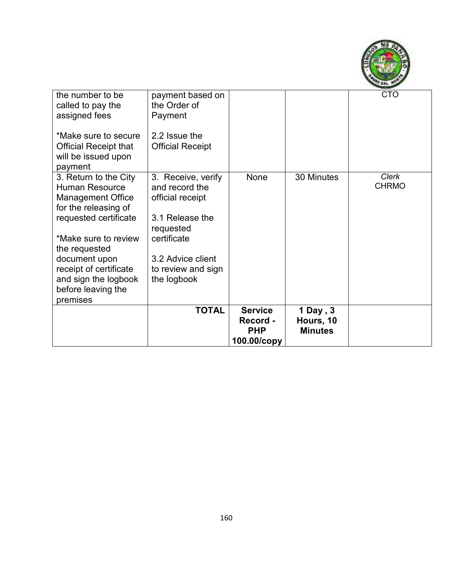

| the number to be<br>called to pay the<br>assigned fees<br>*Make sure to secure<br><b>Official Receipt that</b><br>will be issued upon<br>payment                                                                                                                          | payment based on<br>the Order of<br>Payment<br>2.2 Issue the<br><b>Official Receipt</b>                                                                           |                                                         |                                         | <b>CTO</b>                   |
|---------------------------------------------------------------------------------------------------------------------------------------------------------------------------------------------------------------------------------------------------------------------------|-------------------------------------------------------------------------------------------------------------------------------------------------------------------|---------------------------------------------------------|-----------------------------------------|------------------------------|
| 3. Return to the City<br><b>Human Resource</b><br><b>Management Office</b><br>for the releasing of<br>requested certificate<br>*Make sure to review<br>the requested<br>document upon<br>receipt of certificate<br>and sign the logbook<br>before leaving the<br>premises | 3. Receive, verify<br>and record the<br>official receipt<br>3.1 Release the<br>requested<br>certificate<br>3.2 Advice client<br>to review and sign<br>the logbook | None                                                    | 30 Minutes                              | <b>Clerk</b><br><b>CHRMO</b> |
|                                                                                                                                                                                                                                                                           | <b>TOTAL</b>                                                                                                                                                      | <b>Service</b><br>Record -<br><b>PHP</b><br>100.00/copy | 1 Day, 3<br>Hours, 10<br><b>Minutes</b> |                              |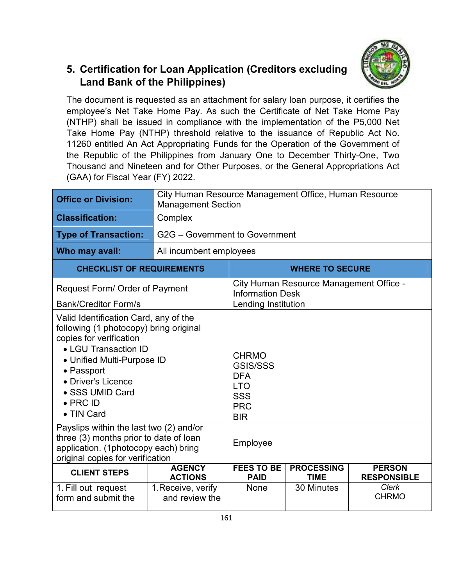# **5. Certification for Loan Application (Creditors excluding Land Bank of the Philippines)**

The document is requested as an attachment for salary loan purpose, it certifies the employee's Net Take Home Pay. As such the Certificate of Net Take Home Pay (NTHP) shall be issued in compliance with the implementation of the P5,000 Net Take Home Pay (NTHP) threshold relative to the issuance of Republic Act No. 11260 entitled An Act Appropriating Funds for the Operation of the Government of the Republic of the Philippines from January One to December Thirty-One, Two Thousand and Nineteen and for Other Purposes, or the General Appropriations Act (GAA) for Fiscal Year (FY) 2022.

| <b>Office or Division:</b>                                                                                                                                                                                                                                |                                      | City Human Resource Management Office, Human Resource<br><b>Management Section</b>                    |                                         |                                     |
|-----------------------------------------------------------------------------------------------------------------------------------------------------------------------------------------------------------------------------------------------------------|--------------------------------------|-------------------------------------------------------------------------------------------------------|-----------------------------------------|-------------------------------------|
| <b>Classification:</b>                                                                                                                                                                                                                                    | Complex                              |                                                                                                       |                                         |                                     |
| <b>Type of Transaction:</b>                                                                                                                                                                                                                               | G2G - Government to Government       |                                                                                                       |                                         |                                     |
| Who may avail:                                                                                                                                                                                                                                            | All incumbent employees              |                                                                                                       |                                         |                                     |
| <b>CHECKLIST OF REQUIREMENTS</b>                                                                                                                                                                                                                          |                                      |                                                                                                       | <b>WHERE TO SECURE</b>                  |                                     |
| Request Form/ Order of Payment                                                                                                                                                                                                                            |                                      | <b>Information Desk</b>                                                                               | City Human Resource Management Office - |                                     |
| <b>Bank/Creditor Form/s</b>                                                                                                                                                                                                                               |                                      | Lending Institution                                                                                   |                                         |                                     |
| Valid Identification Card, any of the<br>following (1 photocopy) bring original<br>copies for verification<br>• LGU Transaction ID<br>• Unified Multi-Purpose ID<br>• Passport<br>• Driver's Licence<br>• SSS UMID Card<br>$\bullet$ PRC ID<br>• TIN Card |                                      | <b>CHRMO</b><br><b>GSIS/SSS</b><br><b>DFA</b><br><b>LTO</b><br><b>SSS</b><br><b>PRC</b><br><b>BIR</b> |                                         |                                     |
| Payslips within the last two (2) and/or<br>three (3) months prior to date of loan<br>application. (1photocopy each) bring<br>original copies for verification                                                                                             |                                      | Employee                                                                                              |                                         |                                     |
| <b>CLIENT STEPS</b>                                                                                                                                                                                                                                       | <b>AGENCY</b><br><b>ACTIONS</b>      | <b>FEES TO BE</b><br><b>PAID</b>                                                                      | <b>PROCESSING</b><br><b>TIME</b>        | <b>PERSON</b><br><b>RESPONSIBLE</b> |
| 1. Fill out request<br>form and submit the                                                                                                                                                                                                                | 1. Receive, verify<br>and review the | None                                                                                                  | 30 Minutes                              | <b>Clerk</b><br><b>CHRMO</b>        |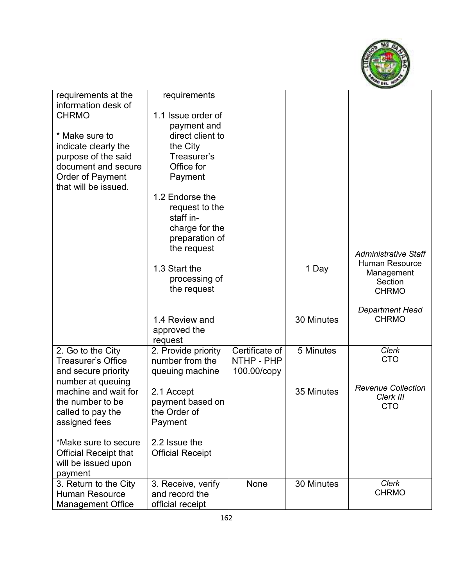

| requirements at the                       | requirements                    |                |            |                                                      |
|-------------------------------------------|---------------------------------|----------------|------------|------------------------------------------------------|
| information desk of<br><b>CHRMO</b>       | 1.1 Issue order of              |                |            |                                                      |
|                                           |                                 |                |            |                                                      |
| * Make sure to                            | payment and<br>direct client to |                |            |                                                      |
| indicate clearly the                      | the City                        |                |            |                                                      |
| purpose of the said                       | Treasurer's                     |                |            |                                                      |
| document and secure                       | Office for                      |                |            |                                                      |
| Order of Payment                          | Payment                         |                |            |                                                      |
| that will be issued.                      |                                 |                |            |                                                      |
|                                           | 1.2 Endorse the                 |                |            |                                                      |
|                                           | request to the                  |                |            |                                                      |
|                                           | staff in-                       |                |            |                                                      |
|                                           | charge for the                  |                |            |                                                      |
|                                           | preparation of                  |                |            |                                                      |
|                                           | the request                     |                |            |                                                      |
|                                           |                                 |                |            | <b>Administrative Staff</b><br><b>Human Resource</b> |
|                                           | 1.3 Start the                   |                | 1 Day      | Management                                           |
|                                           | processing of                   |                |            | Section                                              |
|                                           | the request                     |                |            | <b>CHRMO</b>                                         |
|                                           |                                 |                |            |                                                      |
|                                           |                                 |                |            | <b>Department Head</b>                               |
|                                           | 1.4 Review and                  |                | 30 Minutes | <b>CHRMO</b>                                         |
|                                           | approved the                    |                |            |                                                      |
|                                           | request                         |                |            |                                                      |
| 2. Go to the City                         | 2. Provide priority             | Certificate of | 5 Minutes  | Clerk<br><b>CTO</b>                                  |
| <b>Treasurer's Office</b>                 | number from the                 | NTHP - PHP     |            |                                                      |
| and secure priority                       | queuing machine                 | 100.00/copy    |            |                                                      |
| number at queuing<br>machine and wait for | 2.1 Accept                      |                | 35 Minutes | <b>Revenue Collection</b>                            |
| the number to be                          | payment based on                |                |            | Clerk III                                            |
| called to pay the                         | the Order of                    |                |            | <b>CTO</b>                                           |
| assigned fees                             | Payment                         |                |            |                                                      |
|                                           |                                 |                |            |                                                      |
| *Make sure to secure                      | 2.2 Issue the                   |                |            |                                                      |
| <b>Official Receipt that</b>              | <b>Official Receipt</b>         |                |            |                                                      |
| will be issued upon                       |                                 |                |            |                                                      |
| payment                                   |                                 |                |            |                                                      |
| 3. Return to the City                     | 3. Receive, verify              | None           | 30 Minutes | <b>Clerk</b>                                         |
| <b>Human Resource</b>                     | and record the                  |                |            | <b>CHRMO</b>                                         |
| <b>Management Office</b>                  | official receipt                |                |            |                                                      |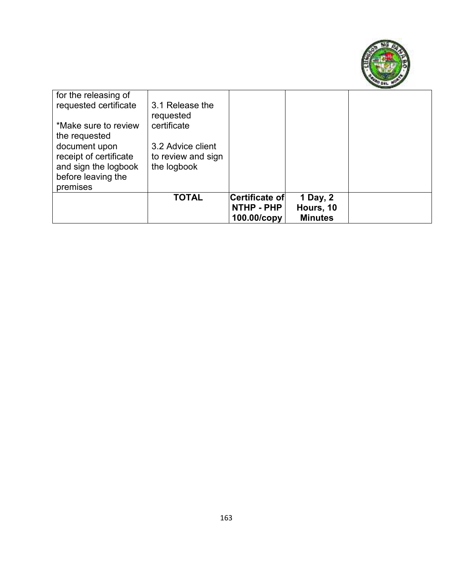

| for the releasing of<br>requested certificate | 3.1 Release the<br>requested |                |                |  |
|-----------------------------------------------|------------------------------|----------------|----------------|--|
| *Make sure to review                          | certificate                  |                |                |  |
| the requested                                 |                              |                |                |  |
| document upon                                 | 3.2 Advice client            |                |                |  |
| receipt of certificate                        | to review and sign           |                |                |  |
|                                               |                              |                |                |  |
| and sign the logbook                          | the logbook                  |                |                |  |
| before leaving the                            |                              |                |                |  |
| premises                                      |                              |                |                |  |
|                                               |                              |                |                |  |
|                                               | <b>TOTAL</b>                 | Certificate of | 1 Day, 2       |  |
|                                               |                              | NTHP - PHP     | Hours, 10      |  |
|                                               |                              | 100.00/copy    | <b>Minutes</b> |  |
|                                               |                              |                |                |  |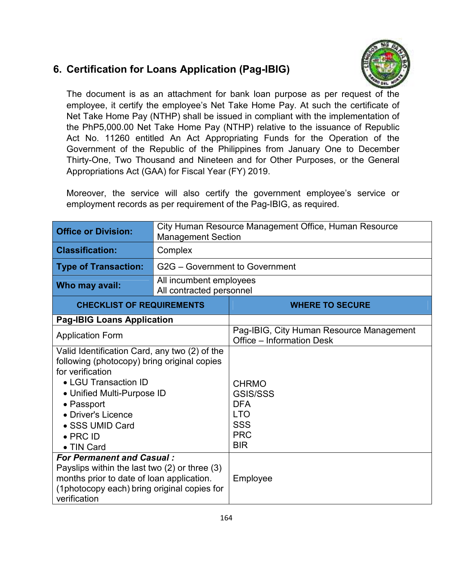## **6. Certification for Loans Application (Pag-IBIG)**



The document is as an attachment for bank loan purpose as per request of the employee, it certify the employee's Net Take Home Pay. At such the certificate of Net Take Home Pay (NTHP) shall be issued in compliant with the implementation of the PhP5,000.00 Net Take Home Pay (NTHP) relative to the issuance of Republic Act No. 11260 entitled An Act Appropriating Funds for the Operation of the Government of the Republic of the Philippines from January One to December Thirty-One, Two Thousand and Nineteen and for Other Purposes, or the General Appropriations Act (GAA) for Fiscal Year (FY) 2019.

Moreover, the service will also certify the government employee's service or employment records as per requirement of the Pag-IBIG, as required.

| <b>Office or Division:</b>                                                                                                                                                                                                                                      | City Human Resource Management Office, Human Resource<br><b>Management Section</b> |                                                                                                       |  |
|-----------------------------------------------------------------------------------------------------------------------------------------------------------------------------------------------------------------------------------------------------------------|------------------------------------------------------------------------------------|-------------------------------------------------------------------------------------------------------|--|
| <b>Classification:</b>                                                                                                                                                                                                                                          | Complex                                                                            |                                                                                                       |  |
| <b>Type of Transaction:</b>                                                                                                                                                                                                                                     | G2G - Government to Government                                                     |                                                                                                       |  |
| Who may avail:                                                                                                                                                                                                                                                  | All incumbent employees<br>All contracted personnel                                |                                                                                                       |  |
| <b>CHECKLIST OF REQUIREMENTS</b>                                                                                                                                                                                                                                |                                                                                    | <b>WHERE TO SECURE</b>                                                                                |  |
| <b>Pag-IBIG Loans Application</b>                                                                                                                                                                                                                               |                                                                                    |                                                                                                       |  |
| <b>Application Form</b>                                                                                                                                                                                                                                         |                                                                                    | Pag-IBIG, City Human Resource Management<br>Office – Information Desk                                 |  |
| Valid Identification Card, any two (2) of the<br>following (photocopy) bring original copies<br>for verification<br>• LGU Transaction ID<br>• Unified Multi-Purpose ID<br>• Passport<br>• Driver's Licence<br>• SSS UMID Card<br>$\bullet$ PRC ID<br>• TIN Card |                                                                                    | <b>CHRMO</b><br><b>GSIS/SSS</b><br><b>DFA</b><br><b>LTO</b><br><b>SSS</b><br><b>PRC</b><br><b>BIR</b> |  |
| <b>For Permanent and Casual:</b><br>Payslips within the last two $(2)$ or three $(3)$<br>months prior to date of loan application.<br>(1photocopy each) bring original copies for<br>verification                                                               |                                                                                    | Employee                                                                                              |  |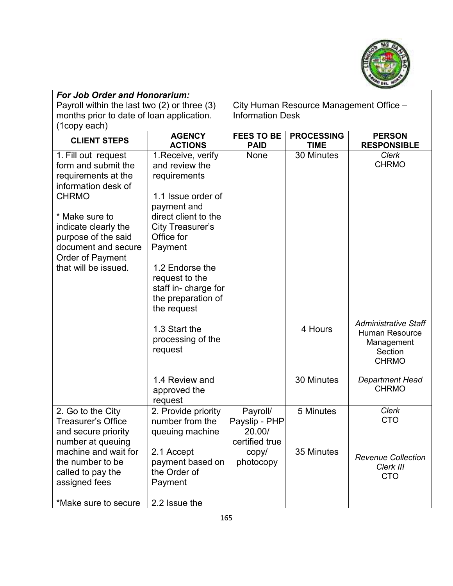

| <b>For Job Order and Honorarium:</b>                                                                                                                                                                                                         |                                                                                                                                                                                                                                                   |                                                                             |                                         |                                                                                                                         |  |
|----------------------------------------------------------------------------------------------------------------------------------------------------------------------------------------------------------------------------------------------|---------------------------------------------------------------------------------------------------------------------------------------------------------------------------------------------------------------------------------------------------|-----------------------------------------------------------------------------|-----------------------------------------|-------------------------------------------------------------------------------------------------------------------------|--|
|                                                                                                                                                                                                                                              | Payroll within the last two $(2)$ or three $(3)$                                                                                                                                                                                                  |                                                                             | City Human Resource Management Office - |                                                                                                                         |  |
| months prior to date of loan application.                                                                                                                                                                                                    |                                                                                                                                                                                                                                                   | <b>Information Desk</b>                                                     |                                         |                                                                                                                         |  |
| (1copy each)                                                                                                                                                                                                                                 |                                                                                                                                                                                                                                                   |                                                                             |                                         |                                                                                                                         |  |
| <b>CLIENT STEPS</b>                                                                                                                                                                                                                          | <b>AGENCY</b><br><b>ACTIONS</b>                                                                                                                                                                                                                   | <b>FEES TO BE</b><br><b>PAID</b>                                            | <b>PROCESSING</b><br><b>TIME</b>        | <b>PERSON</b><br><b>RESPONSIBLE</b>                                                                                     |  |
| 1. Fill out request<br>form and submit the<br>requirements at the<br>information desk of<br><b>CHRMO</b><br>* Make sure to<br>indicate clearly the<br>purpose of the said<br>document and secure<br>Order of Payment<br>that will be issued. | 1. Receive, verify<br>and review the<br>requirements<br>1.1 Issue order of<br>payment and<br>direct client to the<br>City Treasurer's<br>Office for<br>Payment<br>1.2 Endorse the<br>request to the<br>staff in- charge for<br>the preparation of | None                                                                        | 30 Minutes                              | <b>Clerk</b><br><b>CHRMO</b>                                                                                            |  |
|                                                                                                                                                                                                                                              | the request<br>1.3 Start the<br>processing of the<br>request<br>1.4 Review and                                                                                                                                                                    |                                                                             | 4 Hours<br>30 Minutes                   | <b>Administrative Staff</b><br><b>Human Resource</b><br>Management<br>Section<br><b>CHRMO</b><br><b>Department Head</b> |  |
|                                                                                                                                                                                                                                              | approved the<br>request                                                                                                                                                                                                                           |                                                                             |                                         | <b>CHRMO</b>                                                                                                            |  |
| 2. Go to the City<br><b>Treasurer's Office</b><br>and secure priority<br>number at queuing<br>machine and wait for<br>the number to be                                                                                                       | 2. Provide priority<br>number from the<br>queuing machine<br>2.1 Accept<br>payment based on                                                                                                                                                       | Payroll/<br>Payslip - PHP<br>20.00/<br>certified true<br>copy/<br>photocopy | $\overline{5}$ Minutes<br>35 Minutes    | Clerk<br><b>CTO</b><br><b>Revenue Collection</b>                                                                        |  |
| called to pay the<br>assigned fees<br>*Make sure to secure                                                                                                                                                                                   | the Order of<br>Payment<br>2.2 Issue the                                                                                                                                                                                                          |                                                                             |                                         | Clerk III<br><b>CTO</b>                                                                                                 |  |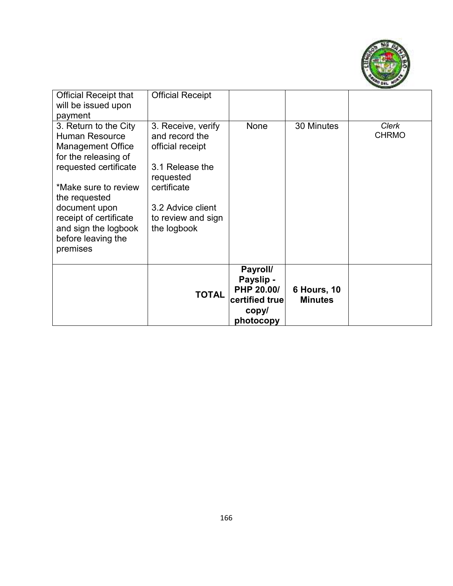

| <b>Official Receipt that</b><br>will be issued upon<br>payment                                                                                                                                                                                                            | <b>Official Receipt</b>                                                                                                                                           |                                                                            |                                      |                              |
|---------------------------------------------------------------------------------------------------------------------------------------------------------------------------------------------------------------------------------------------------------------------------|-------------------------------------------------------------------------------------------------------------------------------------------------------------------|----------------------------------------------------------------------------|--------------------------------------|------------------------------|
| 3. Return to the City<br><b>Human Resource</b><br><b>Management Office</b><br>for the releasing of<br>requested certificate<br>*Make sure to review<br>the requested<br>document upon<br>receipt of certificate<br>and sign the logbook<br>before leaving the<br>premises | 3. Receive, verify<br>and record the<br>official receipt<br>3.1 Release the<br>requested<br>certificate<br>3.2 Advice client<br>to review and sign<br>the logbook | None                                                                       | 30 Minutes                           | <b>Clerk</b><br><b>CHRMO</b> |
|                                                                                                                                                                                                                                                                           | <b>TOTAL</b>                                                                                                                                                      | Payroll/<br>Payslip -<br>PHP 20.00/<br>certified true<br>copy<br>photocopy | <b>6 Hours, 10</b><br><b>Minutes</b> |                              |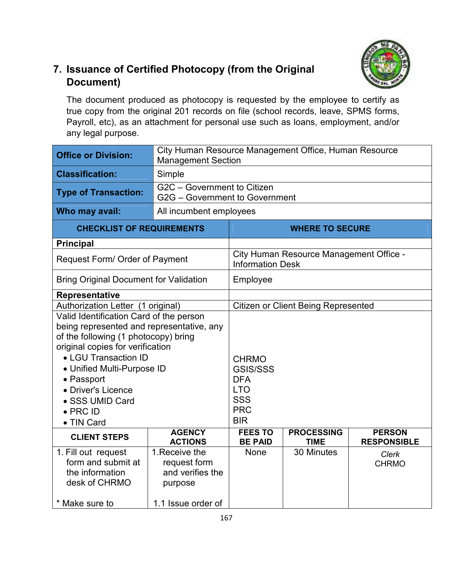

# **7. Issuance of Certified Photocopy (from the Original Document)**

The document produced as photocopy is requested by the employee to certify as true copy from the original 201 records on file (school records, leave, SPMS forms, Payroll, etc), as an attachment for personal use such as loans, employment, and/or any legal purpose.

| <b>Office or Division:</b>                                                    | City Human Resource Management Office, Human Resource<br><b>Management Section</b> |                                            |                                         |                              |
|-------------------------------------------------------------------------------|------------------------------------------------------------------------------------|--------------------------------------------|-----------------------------------------|------------------------------|
| <b>Classification:</b>                                                        | Simple                                                                             |                                            |                                         |                              |
| <b>Type of Transaction:</b>                                                   | G2C - Government to Citizen<br>G2G - Government to Government                      |                                            |                                         |                              |
| Who may avail:                                                                | All incumbent employees                                                            |                                            |                                         |                              |
| <b>CHECKLIST OF REQUIREMENTS</b>                                              |                                                                                    | <b>WHERE TO SECURE</b>                     |                                         |                              |
| <b>Principal</b>                                                              |                                                                                    |                                            |                                         |                              |
| Request Form/ Order of Payment                                                |                                                                                    | <b>Information Desk</b>                    | City Human Resource Management Office - |                              |
| <b>Bring Original Document for Validation</b>                                 |                                                                                    | Employee                                   |                                         |                              |
| Representative                                                                |                                                                                    |                                            |                                         |                              |
| Authorization Letter (1 original)                                             |                                                                                    | <b>Citizen or Client Being Represented</b> |                                         |                              |
| Valid Identification Card of the person                                       |                                                                                    |                                            |                                         |                              |
| being represented and representative, any                                     |                                                                                    |                                            |                                         |                              |
| of the following (1 photocopy) bring                                          |                                                                                    |                                            |                                         |                              |
| original copies for verification                                              |                                                                                    |                                            |                                         |                              |
| • LGU Transaction ID                                                          |                                                                                    | <b>CHRMO</b>                               |                                         |                              |
| • Unified Multi-Purpose ID                                                    |                                                                                    | <b>GSIS/SSS</b>                            |                                         |                              |
| • Passport                                                                    |                                                                                    | <b>DFA</b><br><b>LTO</b>                   |                                         |                              |
| • Driver's Licence                                                            |                                                                                    | SSS                                        |                                         |                              |
| • SSS UMID Card<br>$\bullet$ PRC ID                                           |                                                                                    | <b>PRC</b>                                 |                                         |                              |
| • TIN Card                                                                    |                                                                                    | <b>BIR</b>                                 |                                         |                              |
|                                                                               | <b>AGENCY</b>                                                                      | <b>FEES TO</b>                             | <b>PROCESSING</b>                       | <b>PERSON</b>                |
| <b>CLIENT STEPS</b>                                                           | <b>ACTIONS</b>                                                                     | <b>BE PAID</b>                             | <b>TIME</b>                             | <b>RESPONSIBLE</b>           |
| 1. Fill out request<br>form and submit at<br>the information<br>desk of CHRMO | 1. Receive the<br>request form<br>and verifies the<br>purpose                      | None                                       | 30 Minutes                              | <b>Clerk</b><br><b>CHRMO</b> |
| * Make sure to                                                                | 1.1 Issue order of                                                                 |                                            |                                         |                              |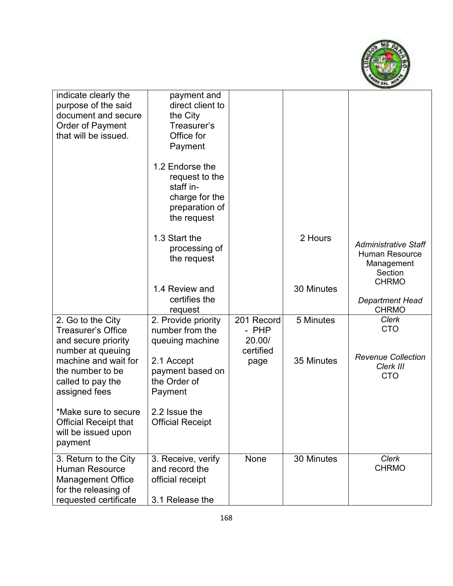

| indicate clearly the<br>purpose of the said<br>document and secure<br>Order of Payment<br>that will be issued.              | payment and<br>direct client to<br>the City<br>Treasurer's<br>Office for<br>Payment<br>1.2 Endorse the<br>request to the<br>staff in-<br>charge for the<br>preparation of<br>the request<br>1.3 Start the |                                            | 2 Hours    |                                                                               |
|-----------------------------------------------------------------------------------------------------------------------------|-----------------------------------------------------------------------------------------------------------------------------------------------------------------------------------------------------------|--------------------------------------------|------------|-------------------------------------------------------------------------------|
|                                                                                                                             | processing of<br>the request                                                                                                                                                                              |                                            |            | <b>Administrative Staff</b><br><b>Human Resource</b><br>Management<br>Section |
|                                                                                                                             | 1.4 Review and                                                                                                                                                                                            |                                            | 30 Minutes | <b>CHRMO</b>                                                                  |
|                                                                                                                             | certifies the<br>request                                                                                                                                                                                  |                                            |            | <b>Department Head</b><br><b>CHRMO</b>                                        |
| 2. Go to the City<br><b>Treasurer's Office</b><br>and secure priority<br>number at queuing                                  | 2. Provide priority<br>number from the<br>queuing machine                                                                                                                                                 | 201 Record<br>- PHP<br>20.00/<br>certified | 5 Minutes  | <b>Clerk</b><br><b>CTO</b>                                                    |
| machine and wait for<br>the number to be<br>called to pay the<br>assigned fees                                              | 2.1 Accept<br>payment based on<br>the Order of<br>Payment                                                                                                                                                 | page                                       | 35 Minutes | <b>Revenue Collection</b><br>Clerk III<br><b>CTO</b>                          |
| *Make sure to secure<br><b>Official Receipt that</b><br>will be issued upon<br>payment                                      | 2.2 Issue the<br><b>Official Receipt</b>                                                                                                                                                                  |                                            |            |                                                                               |
| 3. Return to the City<br><b>Human Resource</b><br><b>Management Office</b><br>for the releasing of<br>requested certificate | 3. Receive, verify<br>and record the<br>official receipt<br>3.1 Release the                                                                                                                               | <b>None</b>                                | 30 Minutes | <b>Clerk</b><br><b>CHRMO</b>                                                  |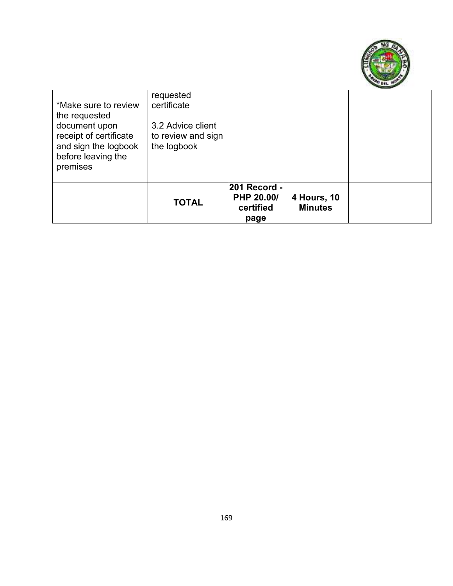

| *Make sure to review<br>the requested<br>document upon<br>receipt of certificate<br>and sign the logbook<br>before leaving the<br>premises | requested<br>certificate<br>3.2 Advice client<br>to review and sign<br>the logbook |                                                 |                               |  |
|--------------------------------------------------------------------------------------------------------------------------------------------|------------------------------------------------------------------------------------|-------------------------------------------------|-------------------------------|--|
|                                                                                                                                            | <b>TOTAL</b>                                                                       | 201 Record -<br>PHP 20.00/<br>certified<br>page | 4 Hours, 10<br><b>Minutes</b> |  |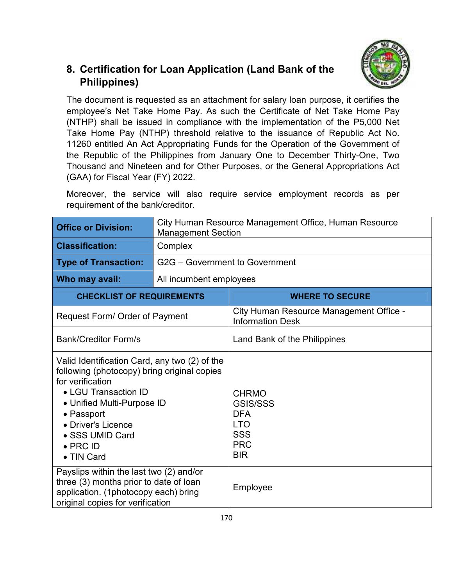# **8. Certification for Loan Application (Land Bank of the Philippines)**

The document is requested as an attachment for salary loan purpose, it certifies the employee's Net Take Home Pay. As such the Certificate of Net Take Home Pay (NTHP) shall be issued in compliance with the implementation of the P5,000 Net Take Home Pay (NTHP) threshold relative to the issuance of Republic Act No. 11260 entitled An Act Appropriating Funds for the Operation of the Government of the Republic of the Philippines from January One to December Thirty-One, Two Thousand and Nineteen and for Other Purposes, or the General Appropriations Act (GAA) for Fiscal Year (FY) 2022.

Moreover, the service will also require service employment records as per requirement of the bank/creditor.

| <b>Office or Division:</b>                                                                                                                                                                                                                                      | City Human Resource Management Office, Human Resource<br><b>Management Section</b> |                                                                                                       |  |
|-----------------------------------------------------------------------------------------------------------------------------------------------------------------------------------------------------------------------------------------------------------------|------------------------------------------------------------------------------------|-------------------------------------------------------------------------------------------------------|--|
| <b>Classification:</b>                                                                                                                                                                                                                                          | Complex                                                                            |                                                                                                       |  |
| <b>Type of Transaction:</b>                                                                                                                                                                                                                                     | G2G - Government to Government                                                     |                                                                                                       |  |
| Who may avail:                                                                                                                                                                                                                                                  | All incumbent employees                                                            |                                                                                                       |  |
| <b>CHECKLIST OF REQUIREMENTS</b>                                                                                                                                                                                                                                |                                                                                    | <b>WHERE TO SECURE</b>                                                                                |  |
| Request Form/ Order of Payment                                                                                                                                                                                                                                  |                                                                                    | City Human Resource Management Office -<br><b>Information Desk</b>                                    |  |
| <b>Bank/Creditor Form/s</b>                                                                                                                                                                                                                                     |                                                                                    | Land Bank of the Philippines                                                                          |  |
| Valid Identification Card, any two (2) of the<br>following (photocopy) bring original copies<br>for verification<br>• LGU Transaction ID<br>• Unified Multi-Purpose ID<br>• Passport<br>• Driver's Licence<br>• SSS UMID Card<br>$\bullet$ PRC ID<br>• TIN Card |                                                                                    | <b>CHRMO</b><br><b>GSIS/SSS</b><br><b>DFA</b><br><b>LTO</b><br><b>SSS</b><br><b>PRC</b><br><b>BIR</b> |  |
| Payslips within the last two (2) and/or<br>three (3) months prior to date of loan<br>application. (1photocopy each) bring<br>original copies for verification                                                                                                   |                                                                                    | Employee                                                                                              |  |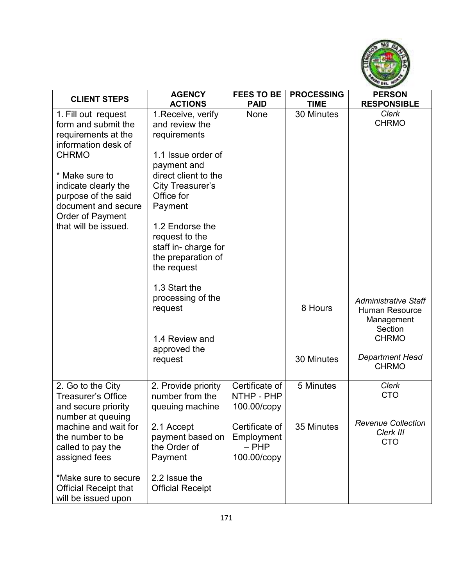

| <b>CLIENT STEPS</b>                                                                                                                                                          | <b>AGENCY</b>                                                                                  | <b>FEES TO BE</b>                                      | <b>PROCESSING</b> | <b>PERSON</b>                                                                                 |
|------------------------------------------------------------------------------------------------------------------------------------------------------------------------------|------------------------------------------------------------------------------------------------|--------------------------------------------------------|-------------------|-----------------------------------------------------------------------------------------------|
|                                                                                                                                                                              | <b>ACTIONS</b>                                                                                 | <b>PAID</b>                                            | <b>TIME</b>       | <b>RESPONSIBLE</b><br><b>Clerk</b>                                                            |
| 1. Fill out request<br>form and submit the<br>requirements at the<br>information desk of                                                                                     | 1. Receive, verify<br>and review the<br>requirements                                           | None                                                   | 30 Minutes        | <b>CHRMO</b>                                                                                  |
| <b>CHRMO</b><br>* Make sure to                                                                                                                                               | 1.1 Issue order of<br>payment and<br>direct client to the                                      |                                                        |                   |                                                                                               |
| indicate clearly the<br>purpose of the said<br>document and secure<br>Order of Payment<br>that will be issued.                                                               | City Treasurer's<br>Office for<br>Payment                                                      |                                                        |                   |                                                                                               |
|                                                                                                                                                                              | 1.2 Endorse the<br>request to the<br>staff in- charge for<br>the preparation of<br>the request |                                                        |                   |                                                                                               |
|                                                                                                                                                                              | 1.3 Start the<br>processing of the<br>request<br>1.4 Review and                                |                                                        | 8 Hours           | <b>Administrative Staff</b><br><b>Human Resource</b><br>Management<br>Section<br><b>CHRMO</b> |
|                                                                                                                                                                              | approved the<br>request                                                                        |                                                        | 30 Minutes        | <b>Department Head</b><br><b>CHRMO</b>                                                        |
| 2. Go to the City<br><b>Treasurer's Office</b><br>and secure priority<br>number at queuing<br>machine and wait for<br>the number to be<br>called to pay the<br>assigned fees | 2. Provide priority<br>number from the<br>queuing machine                                      | Certificate of<br>NTHP - PHP<br>100.00/copy            | 5 Minutes         | <b>Clerk</b><br><b>CTO</b>                                                                    |
|                                                                                                                                                                              | 2.1 Accept<br>payment based on<br>the Order of<br>Payment                                      | Certificate of<br>Employment<br>$-$ PHP<br>100.00/copy | 35 Minutes        | <b>Revenue Collection</b><br>Clerk III<br><b>CTO</b>                                          |
| *Make sure to secure<br><b>Official Receipt that</b><br>will be issued upon                                                                                                  | 2.2 Issue the<br><b>Official Receipt</b>                                                       |                                                        |                   |                                                                                               |